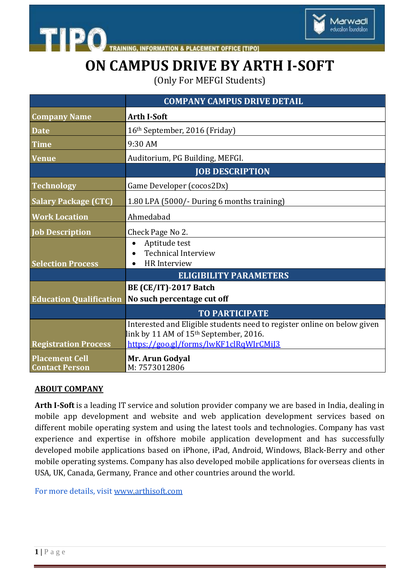



# **ON CAMPUS DRIVE BY ARTH I-SOFT**

(Only For MEFGI Students)

|                                                | <b>COMPANY CAMPUS DRIVE DETAIL</b>                                                           |
|------------------------------------------------|----------------------------------------------------------------------------------------------|
| <b>Company Name</b>                            | <b>Arth I-Soft</b>                                                                           |
| <b>Date</b>                                    | 16th September, 2016 (Friday)                                                                |
| <b>Time</b>                                    | 9:30 AM                                                                                      |
| <b>Venue</b>                                   | Auditorium, PG Building, MEFGI.                                                              |
|                                                | <b>JOB DESCRIPTION</b>                                                                       |
| <b>Technology</b>                              | Game Developer (cocos2Dx)                                                                    |
| <b>Salary Package (CTC)</b>                    | 1.80 LPA (5000/- During 6 months training)                                                   |
| <b>Work Location</b>                           | Ahmedabad                                                                                    |
| <b>Job Description</b>                         | Check Page No 2.                                                                             |
|                                                | Aptitude test                                                                                |
| <b>Selection Process</b>                       | <b>Technical Interview</b><br>HR Interview<br>$\bullet$                                      |
|                                                | <b>ELIGIBILITY PARAMETERS</b>                                                                |
|                                                | <b>BE (CE/IT)-2017 Batch</b>                                                                 |
| <b>Education Qualification</b>                 | No such percentage cut off                                                                   |
|                                                | <b>TO PARTICIPATE</b>                                                                        |
|                                                | Interested and Eligible students need to register online on below given                      |
| <b>Registration Process</b>                    | link by 11 AM of 15 <sup>th</sup> September, 2016.<br>https://goo.gl/forms/lwKF1clRqWIrCMiJ3 |
|                                                |                                                                                              |
| <b>Placement Cell</b><br><b>Contact Person</b> | Mr. Arun Godyal<br>M: 7573012806                                                             |

#### **ABOUT COMPANY**

**Arth I-Soft** is a leading IT service and solution provider company we are based in India, dealing in mobile app development and website and web application development services based on different mobile operating system and using the latest tools and technologies. Company has vast experience and expertise in offshore mobile application development and has successfully developed mobile applications based on iPhone, iPad, Android, Windows, Black-Berry and other mobile operating systems. Company has also developed mobile applications for overseas clients in USA, UK, Canada, Germany, France and other countries around the world.

For more details, visit ww[w.a](http://www.scanpointgeomatics.com/#inbox/_blank)rthisoft.com